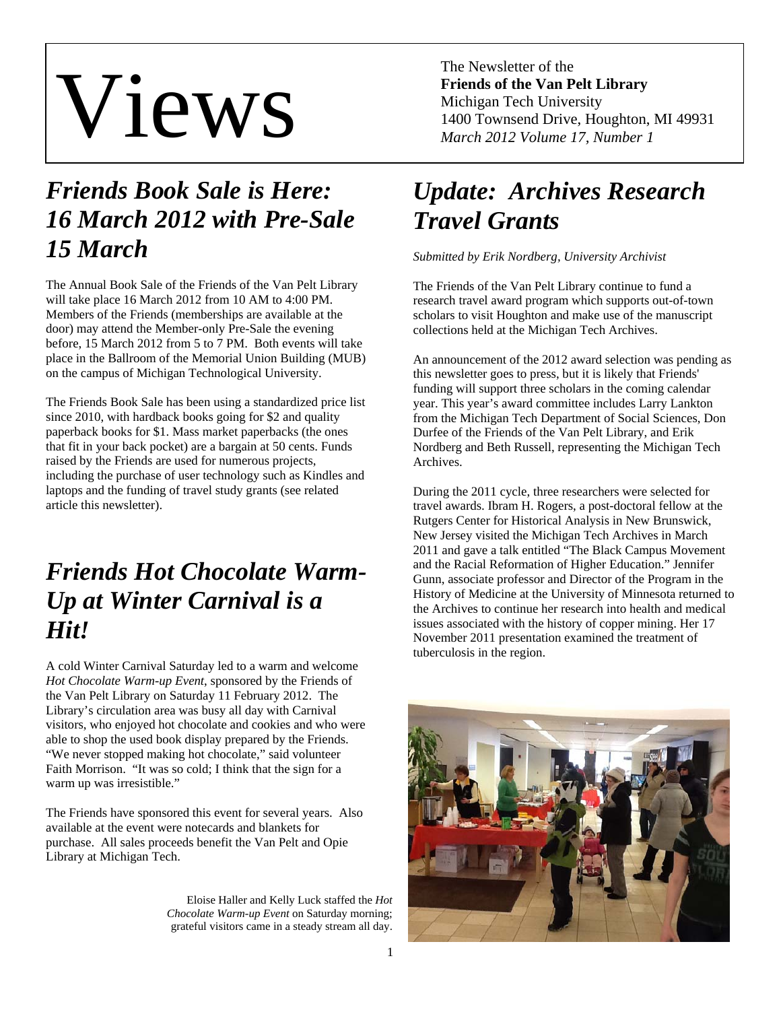# Views

## *Friends Book Sale is Here: 16 March 2012 with Pre-Sale 15 March*

The Annual Book Sale of the Friends of the Van Pelt Library will take place 16 March 2012 from 10 AM to 4:00 PM. Members of the Friends (memberships are available at the door) may attend the Member-only Pre-Sale the evening before, 15 March 2012 from 5 to 7 PM. Both events will take place in the Ballroom of the Memorial Union Building (MUB) on the campus of Michigan Technological University.

The Friends Book Sale has been using a standardized price list since 2010, with hardback books going for \$2 and quality paperback books for \$1. Mass market paperbacks (the ones that fit in your back pocket) are a bargain at 50 cents. Funds raised by the Friends are used for numerous projects, including the purchase of user technology such as Kindles and laptops and the funding of travel study grants (see related article this newsletter).

## *Friends Hot Chocolate Warm-Up at Winter Carnival is a Hit!*

A cold Winter Carnival Saturday led to a warm and welcome *Hot Chocolate Warm-up Event*, sponsored by the Friends of the Van Pelt Library on Saturday 11 February 2012. The Library's circulation area was busy all day with Carnival visitors, who enjoyed hot chocolate and cookies and who were able to shop the used book display prepared by the Friends. "We never stopped making hot chocolate," said volunteer Faith Morrison. "It was so cold; I think that the sign for a warm up was irresistible."

The Friends have sponsored this event for several years. Also available at the event were notecards and blankets for purchase. All sales proceeds benefit the Van Pelt and Opie Library at Michigan Tech.

> Eloise Haller and Kelly Luck staffed the *Hot Chocolate Warm-up Event* on Saturday morning; grateful visitors came in a steady stream all day.

The Newsletter of the **Friends of the Van Pelt Library**  Michigan Tech University 1400 Townsend Drive, Houghton, MI 49931 *March 2012 Volume 17, Number 1* 

# *Update: Archives Research Travel Grants*

#### *Submitted by Erik Nordberg, University Archivist*

The Friends of the Van Pelt Library continue to fund a research travel award program which supports out-of-town scholars to visit Houghton and make use of the manuscript collections held at the Michigan Tech Archives.

An announcement of the 2012 award selection was pending as this newsletter goes to press, but it is likely that Friends' funding will support three scholars in the coming calendar year. This year's award committee includes Larry Lankton from the Michigan Tech Department of Social Sciences, Don Durfee of the Friends of the Van Pelt Library, and Erik Nordberg and Beth Russell, representing the Michigan Tech Archives.

During the 2011 cycle, three researchers were selected for travel awards. Ibram H. Rogers, a post-doctoral fellow at the Rutgers Center for Historical Analysis in New Brunswick, New Jersey visited the Michigan Tech Archives in March 2011 and gave a talk entitled "The Black Campus Movement and the Racial Reformation of Higher Education." Jennifer Gunn, associate professor and Director of the Program in the History of Medicine at the University of Minnesota returned to the Archives to continue her research into health and medical issues associated with the history of copper mining. Her 17 November 2011 presentation examined the treatment of tuberculosis in the region.

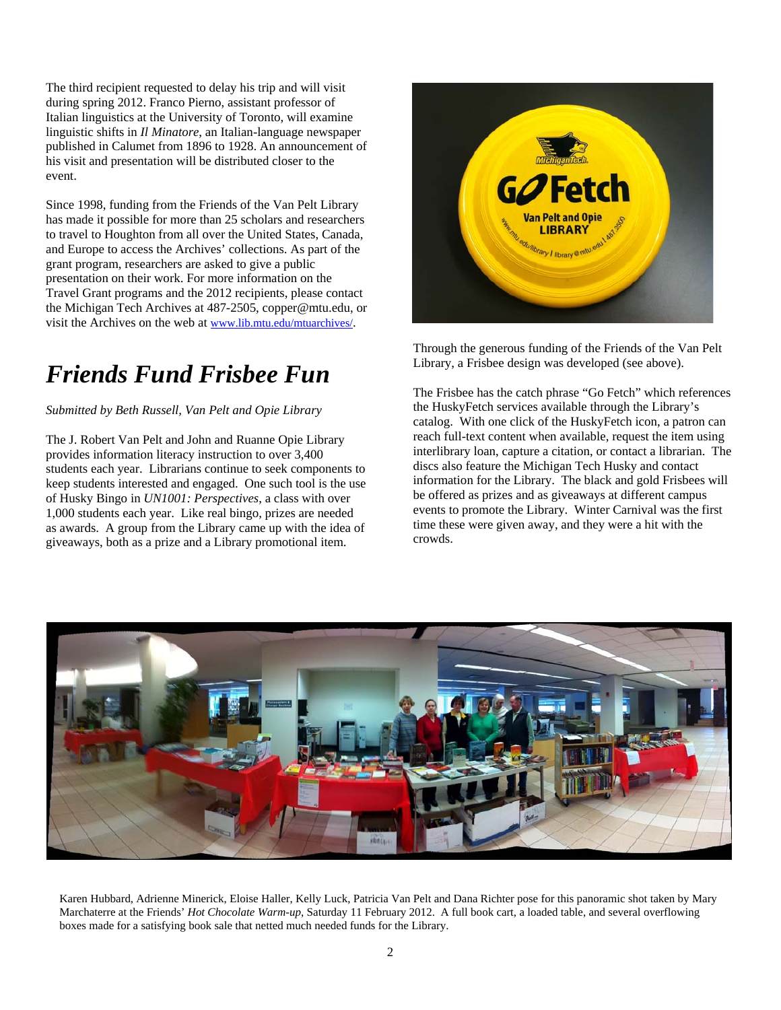The third recipient requested to delay his trip and will visit during spring 2012. Franco Pierno, assistant professor of Italian linguistics at the University of Toronto, will examine linguistic shifts in *Il Minatore*, an Italian-language newspaper published in Calumet from 1896 to 1928. An announcement of his visit and presentation will be distributed closer to the event.

Since 1998, funding from the Friends of the Van Pelt Library has made it possible for more than 25 scholars and researchers to travel to Houghton from all over the United States, Canada, and Europe to access the Archives' collections. As part of the grant program, researchers are asked to give a public presentation on their work. For more information on the Travel Grant programs and the 2012 recipients, please contact the Michigan Tech Archives at 487-2505, copper@mtu.edu, or visit the Archives on the web at www.lib.mtu.edu/mtuarchives/.

#### *Friends Fund Frisbee Fun*

*Submitted by Beth Russell, Van Pelt and Opie Library* 

The J. Robert Van Pelt and John and Ruanne Opie Library provides information literacy instruction to over 3,400 students each year. Librarians continue to seek components to keep students interested and engaged. One such tool is the use of Husky Bingo in *UN1001: Perspectives*, a class with over 1,000 students each year. Like real bingo, prizes are needed as awards. A group from the Library came up with the idea of giveaways, both as a prize and a Library promotional item.



Through the generous funding of the Friends of the Van Pelt Library, a Frisbee design was developed (see above).

The Frisbee has the catch phrase "Go Fetch" which references the HuskyFetch services available through the Library's catalog. With one click of the HuskyFetch icon, a patron can reach full-text content when available, request the item using interlibrary loan, capture a citation, or contact a librarian. The discs also feature the Michigan Tech Husky and contact information for the Library. The black and gold Frisbees will be offered as prizes and as giveaways at different campus events to promote the Library. Winter Carnival was the first time these were given away, and they were a hit with the crowds.



Karen Hubbard, Adrienne Minerick, Eloise Haller, Kelly Luck, Patricia Van Pelt and Dana Richter pose for this panoramic shot taken by Mary Marchaterre at the Friends' *Hot Chocolate Warm-up*, Saturday 11 February 2012. A full book cart, a loaded table, and several overflowing boxes made for a satisfying book sale that netted much needed funds for the Library.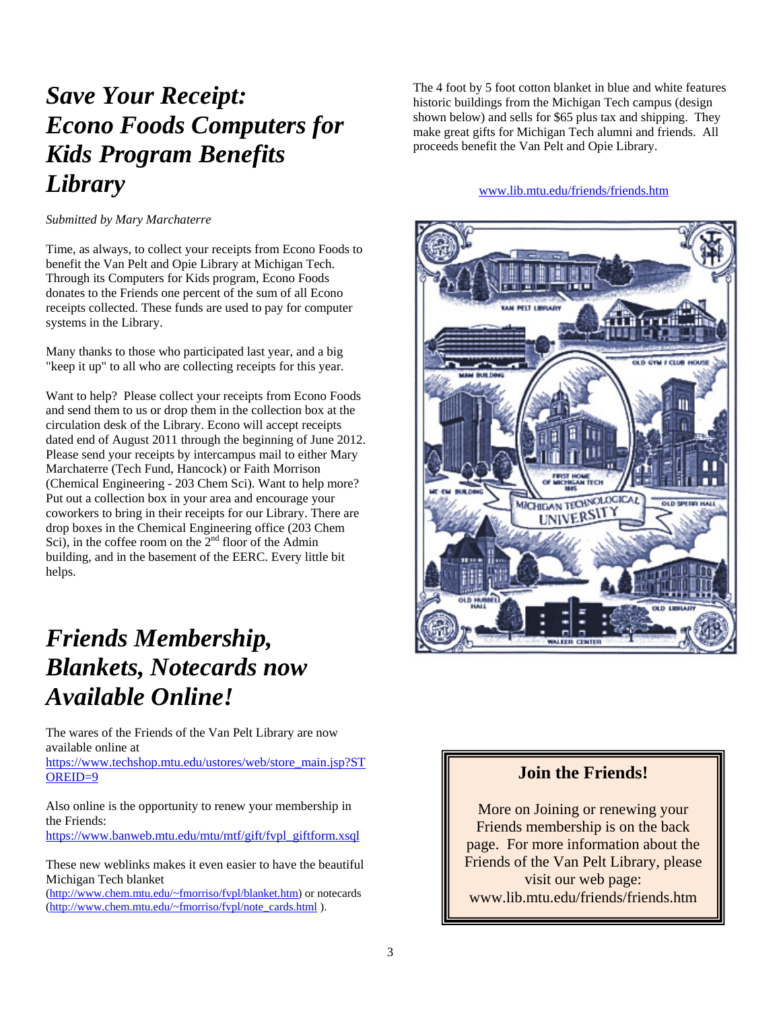## *Save Your Receipt: Econo Foods Computers for Kids Program Benefits Library*

*Submitted by Mary Marchaterre* 

Time, as always, to collect your receipts from Econo Foods to benefit the Van Pelt and Opie Library at Michigan Tech. Through its Computers for Kids program, Econo Foods donates to the Friends one percent of the sum of all Econo receipts collected. These funds are used to pay for computer systems in the Library.

Many thanks to those who participated last year, and a big "keep it up" to all who are collecting receipts for this year.

Want to help? Please collect your receipts from Econo Foods and send them to us or drop them in the collection box at the circulation desk of the Library. Econo will accept receipts dated end of August 2011 through the beginning of June 2012. Please send your receipts by intercampus mail to either Mary Marchaterre (Tech Fund, Hancock) or Faith Morrison (Chemical Engineering - 203 Chem Sci). Want to help more? Put out a collection box in your area and encourage your coworkers to bring in their receipts for our Library. There are drop boxes in the Chemical Engineering office (203 Chem Sci), in the coffee room on the  $2<sup>nd</sup>$  floor of the Admin building, and in the basement of the EERC. Every little bit helps.

## *Friends Membership, Blankets, Notecards now Available Online!*

The wares of the Friends of the Van Pelt Library are now available online at

https://www.techshop.mtu.edu/ustores/web/store\_main.jsp?ST OREID=9

Also online is the opportunity to renew your membership in the Friends:

https://www.banweb.mtu.edu/mtu/mtf/gift/fvpl\_giftform.xsql

These new weblinks makes it even easier to have the beautiful Michigan Tech blanket

(http://www.chem.mtu.edu/~fmorriso/fvpl/blanket.htm) or notecards (http://www.chem.mtu.edu/~fmorriso/fvpl/note\_cards.html ).

The 4 foot by 5 foot cotton blanket in blue and white features historic buildings from the Michigan Tech campus (design shown below) and sells for \$65 plus tax and shipping. They make great gifts for Michigan Tech alumni and friends. All proceeds benefit the Van Pelt and Opie Library.

#### www.lib.mtu.edu/friends/friends.htm



#### **Join the Friends!**

More on Joining or renewing your Friends membership is on the back page. For more information about the Friends of the Van Pelt Library, please visit our web page: www.lib.mtu.edu/friends/friends.htm